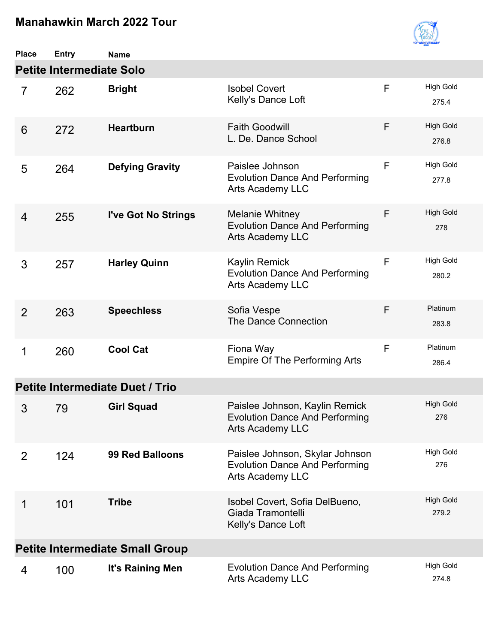

| <b>Place</b>   | <b>Entry</b>                    | <b>Name</b>                            |                                                                                                    |   |                           |
|----------------|---------------------------------|----------------------------------------|----------------------------------------------------------------------------------------------------|---|---------------------------|
|                | <b>Petite Intermediate Solo</b> |                                        |                                                                                                    |   |                           |
| $\overline{7}$ | 262                             | <b>Bright</b>                          | <b>Isobel Covert</b><br>Kelly's Dance Loft                                                         | F | <b>High Gold</b><br>275.4 |
| 6              | 272                             | <b>Heartburn</b>                       | <b>Faith Goodwill</b><br>L. De. Dance School                                                       | F | <b>High Gold</b><br>276.8 |
| 5              | 264                             | <b>Defying Gravity</b>                 | Paislee Johnson<br><b>Evolution Dance And Performing</b><br><b>Arts Academy LLC</b>                | F | <b>High Gold</b><br>277.8 |
| 4              | 255                             | I've Got No Strings                    | <b>Melanie Whitney</b><br><b>Evolution Dance And Performing</b><br><b>Arts Academy LLC</b>         | F | <b>High Gold</b><br>278   |
| 3              | 257                             | <b>Harley Quinn</b>                    | <b>Kaylin Remick</b><br><b>Evolution Dance And Performing</b><br><b>Arts Academy LLC</b>           | F | <b>High Gold</b><br>280.2 |
| 2              | 263                             | <b>Speechless</b>                      | Sofia Vespe<br><b>The Dance Connection</b>                                                         | F | Platinum<br>283.8         |
| 1              | 260                             | <b>Cool Cat</b>                        | Fiona Way<br><b>Empire Of The Performing Arts</b>                                                  | F | Platinum<br>286.4         |
|                |                                 | <b>Petite Intermediate Duet / Trio</b> |                                                                                                    |   |                           |
| 3              | 79                              | <b>Girl Squad</b>                      | Paislee Johnson, Kaylin Remick<br><b>Evolution Dance And Performing</b><br><b>Arts Academy LLC</b> |   | <b>High Gold</b><br>276   |
| $\overline{2}$ | 124                             | <b>99 Red Balloons</b>                 | Paislee Johnson, Skylar Johnson<br><b>Evolution Dance And Performing</b><br>Arts Academy LLC       |   | <b>High Gold</b><br>276   |
| 1              | 101                             | <b>Tribe</b>                           | Isobel Covert, Sofia DelBueno,<br>Giada Tramontelli<br>Kelly's Dance Loft                          |   | <b>High Gold</b><br>279.2 |
|                |                                 | <b>Petite Intermediate Small Group</b> |                                                                                                    |   |                           |
| 4              | 100                             | It's Raining Men                       | <b>Evolution Dance And Performing</b><br>Arts Academy LLC                                          |   | <b>High Gold</b><br>274.8 |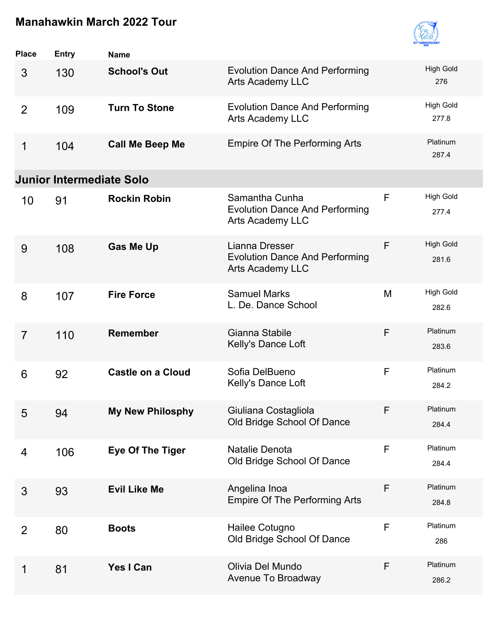

| <b>Place</b>    | <b>Entry</b>                    | <b>Name</b>              |                                                                                    |              |                           |
|-----------------|---------------------------------|--------------------------|------------------------------------------------------------------------------------|--------------|---------------------------|
| 3               | 130                             | <b>School's Out</b>      | <b>Evolution Dance And Performing</b><br><b>Arts Academy LLC</b>                   |              | <b>High Gold</b><br>276   |
| $\overline{2}$  | 109                             | <b>Turn To Stone</b>     | <b>Evolution Dance And Performing</b><br><b>Arts Academy LLC</b>                   |              | <b>High Gold</b><br>277.8 |
| 1               | 104                             | <b>Call Me Beep Me</b>   | <b>Empire Of The Performing Arts</b>                                               |              | Platinum<br>287.4         |
|                 | <b>Junior Intermediate Solo</b> |                          |                                                                                    |              |                           |
| 10              | 91                              | <b>Rockin Robin</b>      | Samantha Cunha<br><b>Evolution Dance And Performing</b><br><b>Arts Academy LLC</b> | $\mathsf{F}$ | <b>High Gold</b><br>277.4 |
| 9               | 108                             | <b>Gas Me Up</b>         | Lianna Dresser<br><b>Evolution Dance And Performing</b><br>Arts Academy LLC        | F            | <b>High Gold</b><br>281.6 |
| 8               | 107                             | <b>Fire Force</b>        | <b>Samuel Marks</b><br>L. De. Dance School                                         | M            | <b>High Gold</b><br>282.6 |
| $\overline{7}$  | 110                             | <b>Remember</b>          | Gianna Stabile<br>Kelly's Dance Loft                                               | F            | Platinum<br>283.6         |
| $6\phantom{1}6$ | 92                              | <b>Castle on a Cloud</b> | Sofia DelBueno<br>Kelly's Dance Loft                                               | F            | Platinum<br>284.2         |
| 5               | 94                              | My New Philosphy         | Giuliana Costagliola<br>Old Bridge School Of Dance                                 | F            | Platinum<br>284.4         |
| 4               | 106                             | <b>Eye Of The Tiger</b>  | Natalie Denota<br>Old Bridge School Of Dance                                       | F            | Platinum<br>284.4         |
| 3               | 93                              | <b>Evil Like Me</b>      | Angelina Inoa<br><b>Empire Of The Performing Arts</b>                              | F            | Platinum<br>284.8         |
| $\overline{2}$  | 80                              | <b>Boots</b>             | Hailee Cotugno<br>Old Bridge School Of Dance                                       | F            | Platinum<br>286           |
| 1               | 81                              | Yes I Can                | Olivia Del Mundo<br>Avenue To Broadway                                             | F            | Platinum<br>286.2         |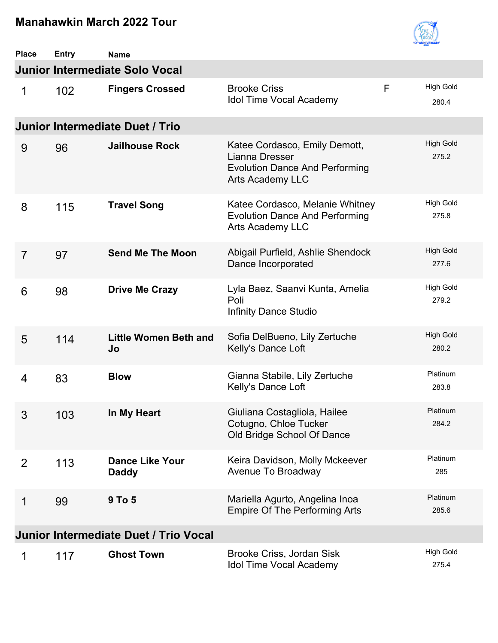

| <b>Place</b>   | <b>Entry</b> | <b>Name</b>                            |                                                                                                                     |   |                           |
|----------------|--------------|----------------------------------------|---------------------------------------------------------------------------------------------------------------------|---|---------------------------|
|                |              | Junior Intermediate Solo Vocal         |                                                                                                                     |   |                           |
| 1              | 102          | <b>Fingers Crossed</b>                 | <b>Brooke Criss</b><br><b>Idol Time Vocal Academy</b>                                                               | F | <b>High Gold</b><br>280.4 |
|                |              | Junior Intermediate Duet / Trio        |                                                                                                                     |   |                           |
| 9              | 96           | <b>Jailhouse Rock</b>                  | Katee Cordasco, Emily Demott,<br>Lianna Dresser<br><b>Evolution Dance And Performing</b><br><b>Arts Academy LLC</b> |   | <b>High Gold</b><br>275.2 |
| 8              | 115          | <b>Travel Song</b>                     | Katee Cordasco, Melanie Whitney<br><b>Evolution Dance And Performing</b><br><b>Arts Academy LLC</b>                 |   | <b>High Gold</b><br>275.8 |
| $\overline{7}$ | 97           | <b>Send Me The Moon</b>                | Abigail Purfield, Ashlie Shendock<br>Dance Incorporated                                                             |   | <b>High Gold</b><br>277.6 |
| 6              | 98           | <b>Drive Me Crazy</b>                  | Lyla Baez, Saanvi Kunta, Amelia<br>Poli<br><b>Infinity Dance Studio</b>                                             |   | <b>High Gold</b><br>279.2 |
| 5              | 114          | <b>Little Women Beth and</b><br>Jo     | Sofia DelBueno, Lily Zertuche<br>Kelly's Dance Loft                                                                 |   | <b>High Gold</b><br>280.2 |
| $\overline{4}$ | 83           | <b>Blow</b>                            | Gianna Stabile, Lily Zertuche<br>Kelly's Dance Loft                                                                 |   | Platinum<br>283.8         |
| 3              | 103          | In My Heart                            | Giuliana Costagliola, Hailee<br>Cotugno, Chloe Tucker<br>Old Bridge School Of Dance                                 |   | Platinum<br>284.2         |
| $\overline{2}$ | 113          | <b>Dance Like Your</b><br><b>Daddy</b> | Keira Davidson, Molly Mckeever<br>Avenue To Broadway                                                                |   | Platinum<br>285           |
| 1              | 99           | 9 To 5                                 | Mariella Agurto, Angelina Inoa<br><b>Empire Of The Performing Arts</b>                                              |   | Platinum<br>285.6         |
|                |              | Junior Intermediate Duet / Trio Vocal  |                                                                                                                     |   |                           |
| 1              | 117          | <b>Ghost Town</b>                      | Brooke Criss, Jordan Sisk<br><b>Idol Time Vocal Academy</b>                                                         |   | <b>High Gold</b><br>275.4 |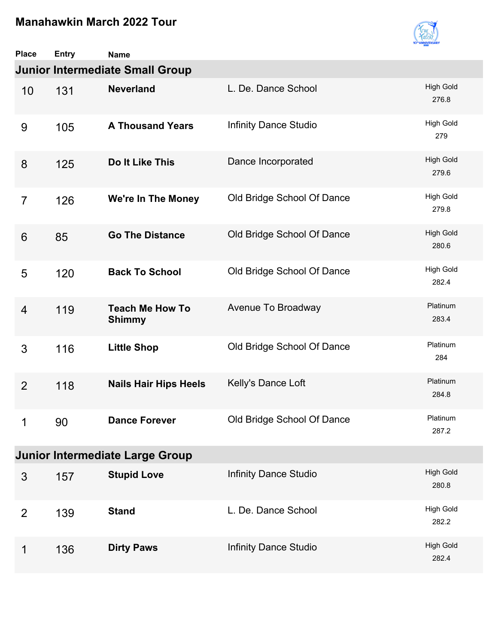

| <b>Place</b>    | <b>Entry</b> | <b>Name</b>                             |                              |                           |
|-----------------|--------------|-----------------------------------------|------------------------------|---------------------------|
|                 |              | <b>Junior Intermediate Small Group</b>  |                              |                           |
| 10              | 131          | <b>Neverland</b>                        | L. De. Dance School          | <b>High Gold</b><br>276.8 |
| 9               | 105          | <b>A Thousand Years</b>                 | <b>Infinity Dance Studio</b> | High Gold<br>279          |
| 8               | 125          | Do It Like This                         | Dance Incorporated           | <b>High Gold</b><br>279.6 |
| $\overline{7}$  | 126          | <b>We're In The Money</b>               | Old Bridge School Of Dance   | High Gold<br>279.8        |
| $6\phantom{1}6$ | 85           | <b>Go The Distance</b>                  | Old Bridge School Of Dance   | <b>High Gold</b><br>280.6 |
| 5               | 120          | <b>Back To School</b>                   | Old Bridge School Of Dance   | <b>High Gold</b><br>282.4 |
| 4               | 119          | <b>Teach Me How To</b><br><b>Shimmy</b> | Avenue To Broadway           | Platinum<br>283.4         |
| 3               | 116          | <b>Little Shop</b>                      | Old Bridge School Of Dance   | Platinum<br>284           |
| $\overline{2}$  | 118          | <b>Nails Hair Hips Heels</b>            | Kelly's Dance Loft           | Platinum<br>284.8         |
| 1               | 90           | <b>Dance Forever</b>                    | Old Bridge School Of Dance   | Platinum<br>287.2         |
|                 |              | <b>Junior Intermediate Large Group</b>  |                              |                           |
| 3               | 157          | <b>Stupid Love</b>                      | <b>Infinity Dance Studio</b> | <b>High Gold</b><br>280.8 |
| $\overline{2}$  | 139          | <b>Stand</b>                            | L. De. Dance School          | <b>High Gold</b><br>282.2 |
| 1               | 136          | <b>Dirty Paws</b>                       | <b>Infinity Dance Studio</b> | <b>High Gold</b><br>282.4 |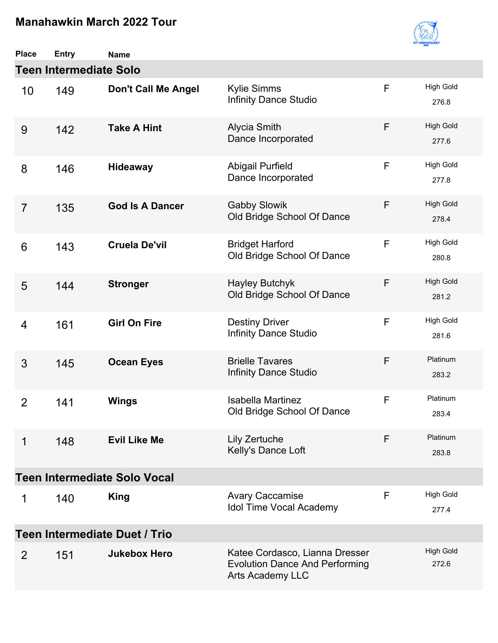

| <b>Place</b>   | <b>Entry</b>                  | <b>Name</b>                          |                                                                                                    |   |                           |
|----------------|-------------------------------|--------------------------------------|----------------------------------------------------------------------------------------------------|---|---------------------------|
|                | <b>Teen Intermediate Solo</b> |                                      |                                                                                                    |   |                           |
| 10             | 149                           | <b>Don't Call Me Angel</b>           | Kylie Simms<br><b>Infinity Dance Studio</b>                                                        | F | <b>High Gold</b><br>276.8 |
| 9              | 142                           | <b>Take A Hint</b>                   | <b>Alycia Smith</b><br>Dance Incorporated                                                          | F | <b>High Gold</b><br>277.6 |
| 8              | 146                           | <b>Hideaway</b>                      | <b>Abigail Purfield</b><br>Dance Incorporated                                                      | F | <b>High Gold</b><br>277.8 |
| $\overline{7}$ | 135                           | <b>God Is A Dancer</b>               | <b>Gabby Slowik</b><br>Old Bridge School Of Dance                                                  | F | <b>High Gold</b><br>278.4 |
| 6              | 143                           | <b>Cruela De'vil</b>                 | <b>Bridget Harford</b><br>Old Bridge School Of Dance                                               | F | <b>High Gold</b><br>280.8 |
| 5              | 144                           | <b>Stronger</b>                      | <b>Hayley Butchyk</b><br>Old Bridge School Of Dance                                                | F | <b>High Gold</b><br>281.2 |
| $\overline{4}$ | 161                           | <b>Girl On Fire</b>                  | <b>Destiny Driver</b><br>Infinity Dance Studio                                                     | F | <b>High Gold</b><br>281.6 |
| 3              | 145                           | <b>Ocean Eyes</b>                    | <b>Brielle Tavares</b><br><b>Infinity Dance Studio</b>                                             | F | Platinum<br>283.2         |
| $\overline{2}$ | 141                           | <b>Wings</b>                         | <b>Isabella Martinez</b><br>Old Bridge School Of Dance                                             | F | Platinum<br>283.4         |
| 1              | 148                           | <b>Evil Like Me</b>                  | Lily Zertuche<br>Kelly's Dance Loft                                                                | F | Platinum<br>283.8         |
|                |                               | <b>Teen Intermediate Solo Vocal</b>  |                                                                                                    |   |                           |
| 1              | 140                           | <b>King</b>                          | <b>Avary Caccamise</b><br><b>Idol Time Vocal Academy</b>                                           | F | <b>High Gold</b><br>277.4 |
|                |                               | <b>Teen Intermediate Duet / Trio</b> |                                                                                                    |   |                           |
| 2              | 151                           | <b>Jukebox Hero</b>                  | Katee Cordasco, Lianna Dresser<br><b>Evolution Dance And Performing</b><br><b>Arts Academy LLC</b> |   | <b>High Gold</b><br>272.6 |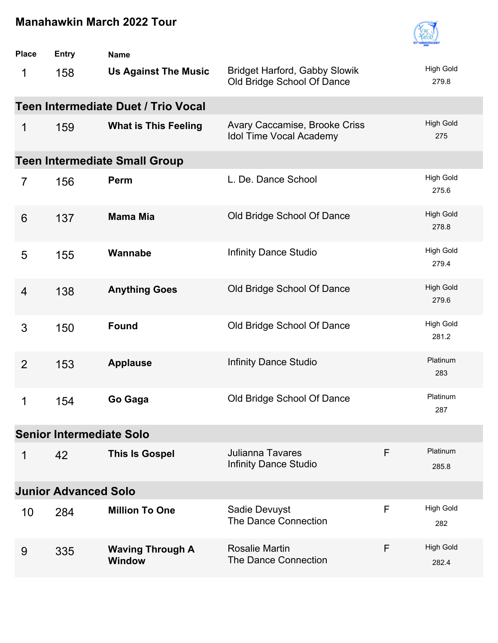

| <b>Place</b>   | <b>Entry</b>                    | <b>Name</b>                              |                                                                    |   |                           |
|----------------|---------------------------------|------------------------------------------|--------------------------------------------------------------------|---|---------------------------|
| 1              | 158                             | <b>Us Against The Music</b>              | <b>Bridget Harford, Gabby Slowik</b><br>Old Bridge School Of Dance |   | <b>High Gold</b><br>279.8 |
|                |                                 | Teen Intermediate Duet / Trio Vocal      |                                                                    |   |                           |
| 1              | 159                             | <b>What is This Feeling</b>              | Avary Caccamise, Brooke Criss<br><b>Idol Time Vocal Academy</b>    |   | <b>High Gold</b><br>275   |
|                |                                 | <b>Teen Intermediate Small Group</b>     |                                                                    |   |                           |
| $\overline{7}$ | 156                             | Perm                                     | L. De. Dance School                                                |   | <b>High Gold</b><br>275.6 |
| 6              | 137                             | <b>Mama Mia</b>                          | Old Bridge School Of Dance                                         |   | <b>High Gold</b><br>278.8 |
| 5              | 155                             | Wannabe                                  | <b>Infinity Dance Studio</b>                                       |   | <b>High Gold</b><br>279.4 |
| 4              | 138                             | <b>Anything Goes</b>                     | Old Bridge School Of Dance                                         |   | <b>High Gold</b><br>279.6 |
| 3              | 150                             | <b>Found</b>                             | Old Bridge School Of Dance                                         |   | <b>High Gold</b><br>281.2 |
| $\overline{2}$ | 153                             | <b>Applause</b>                          | <b>Infinity Dance Studio</b>                                       |   | Platinum<br>283           |
| 1              | 154                             | Go Gaga                                  | Old Bridge School Of Dance                                         |   | Platinum<br>287           |
|                | <b>Senior Intermediate Solo</b> |                                          |                                                                    |   |                           |
| 1              | 42                              | <b>This Is Gospel</b>                    | <b>Julianna Tavares</b><br><b>Infinity Dance Studio</b>            | F | Platinum<br>285.8         |
|                | <b>Junior Advanced Solo</b>     |                                          |                                                                    |   |                           |
| 10             | 284                             | <b>Million To One</b>                    | Sadie Devuyst<br>The Dance Connection                              | F | <b>High Gold</b><br>282   |
| 9              | 335                             | <b>Waving Through A</b><br><b>Window</b> | Rosalie Martin<br>The Dance Connection                             | F | <b>High Gold</b><br>282.4 |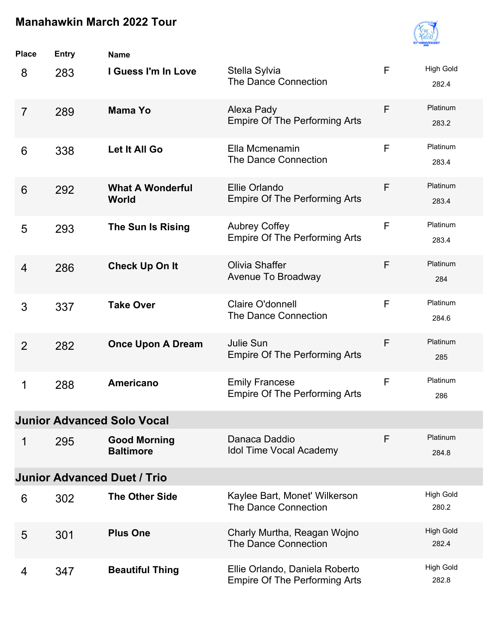

| <b>Place</b>   | <b>Entry</b> | <b>Name</b>                             |                                                                        |              |                           |
|----------------|--------------|-----------------------------------------|------------------------------------------------------------------------|--------------|---------------------------|
| 8              | 283          | I Guess I'm In Love                     | Stella Sylvia<br>The Dance Connection                                  | $\mathsf{F}$ | <b>High Gold</b><br>282.4 |
| $\overline{7}$ | 289          | <b>Mama Yo</b>                          | Alexa Pady<br><b>Empire Of The Performing Arts</b>                     | F            | Platinum<br>283.2         |
| 6              | 338          | Let It All Go                           | Ella Mcmenamin<br>The Dance Connection                                 | F            | Platinum<br>283.4         |
| 6              | 292          | <b>What A Wonderful</b><br>World        | Ellie Orlando<br><b>Empire Of The Performing Arts</b>                  | F            | Platinum<br>283.4         |
| 5              | 293          | The Sun Is Rising                       | <b>Aubrey Coffey</b><br><b>Empire Of The Performing Arts</b>           | $\mathsf{F}$ | Platinum<br>283.4         |
| $\overline{4}$ | 286          | <b>Check Up On It</b>                   | <b>Olivia Shaffer</b><br>Avenue To Broadway                            | F            | Platinum<br>284           |
| 3              | 337          | <b>Take Over</b>                        | Claire O'donnell<br>The Dance Connection                               | F            | Platinum<br>284.6         |
| $\overline{2}$ | 282          | <b>Once Upon A Dream</b>                | Julie Sun<br><b>Empire Of The Performing Arts</b>                      | F            | Platinum<br>285           |
| 1              | 288          | <b>Americano</b>                        | <b>Emily Francese</b><br><b>Empire Of The Performing Arts</b>          | F            | Platinum<br>286           |
|                |              | <b>Junior Advanced Solo Vocal</b>       |                                                                        |              |                           |
| 1              | 295          | <b>Good Morning</b><br><b>Baltimore</b> | Danaca Daddio<br><b>Idol Time Vocal Academy</b>                        | F            | Platinum<br>284.8         |
|                |              | <b>Junior Advanced Duet / Trio</b>      |                                                                        |              |                           |
| 6              | 302          | <b>The Other Side</b>                   | Kaylee Bart, Monet' Wilkerson<br>The Dance Connection                  |              | <b>High Gold</b><br>280.2 |
| 5              | 301          | <b>Plus One</b>                         | Charly Murtha, Reagan Wojno<br>The Dance Connection                    |              | <b>High Gold</b><br>282.4 |
| 4              | 347          | <b>Beautiful Thing</b>                  | Ellie Orlando, Daniela Roberto<br><b>Empire Of The Performing Arts</b> |              | <b>High Gold</b><br>282.8 |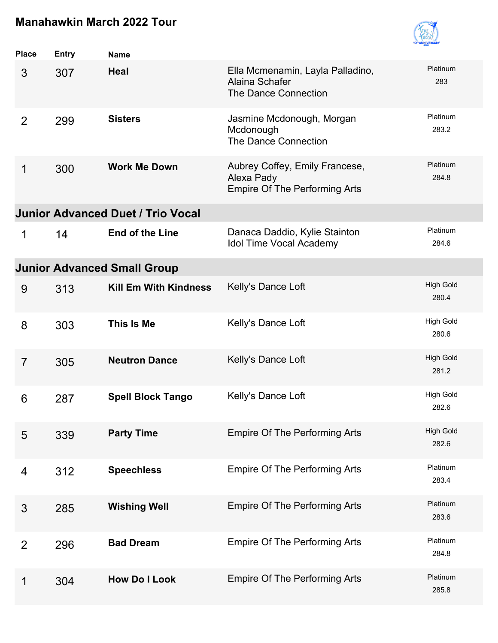

| <b>Place</b>   | Entry | <b>Name</b>                              |                                                                                      |                           |
|----------------|-------|------------------------------------------|--------------------------------------------------------------------------------------|---------------------------|
| 3              | 307   | <b>Heal</b>                              | Ella Mcmenamin, Layla Palladino,<br>Alaina Schafer<br>The Dance Connection           | Platinum<br>283           |
| $\overline{2}$ | 299   | <b>Sisters</b>                           | Jasmine Mcdonough, Morgan<br>Mcdonough<br>The Dance Connection                       | Platinum<br>283.2         |
| 1              | 300   | <b>Work Me Down</b>                      | Aubrey Coffey, Emily Francese,<br>Alexa Pady<br><b>Empire Of The Performing Arts</b> | Platinum<br>284.8         |
|                |       | <b>Junior Advanced Duet / Trio Vocal</b> |                                                                                      |                           |
| 1              | 14    | <b>End of the Line</b>                   | Danaca Daddio, Kylie Stainton<br><b>Idol Time Vocal Academy</b>                      | Platinum<br>284.6         |
|                |       | <b>Junior Advanced Small Group</b>       |                                                                                      |                           |
| 9              | 313   | <b>Kill Em With Kindness</b>             | Kelly's Dance Loft                                                                   | <b>High Gold</b><br>280.4 |
| 8              | 303   | This Is Me                               | Kelly's Dance Loft                                                                   | <b>High Gold</b><br>280.6 |
| $\overline{7}$ | 305   | <b>Neutron Dance</b>                     | Kelly's Dance Loft                                                                   | <b>High Gold</b><br>281.2 |
| 6              | 287   | <b>Spell Block Tango</b>                 | Kelly's Dance Loft                                                                   | <b>High Gold</b><br>282.6 |
| 5              | 339   | <b>Party Time</b>                        | <b>Empire Of The Performing Arts</b>                                                 | <b>High Gold</b><br>282.6 |
| 4              | 312   | <b>Speechless</b>                        | <b>Empire Of The Performing Arts</b>                                                 | Platinum<br>283.4         |
| 3              | 285   | <b>Wishing Well</b>                      | <b>Empire Of The Performing Arts</b>                                                 | Platinum<br>283.6         |
| $\overline{2}$ | 296   | <b>Bad Dream</b>                         | <b>Empire Of The Performing Arts</b>                                                 | Platinum<br>284.8         |
| 1              | 304   | <b>How Do I Look</b>                     | <b>Empire Of The Performing Arts</b>                                                 | Platinum<br>285.8         |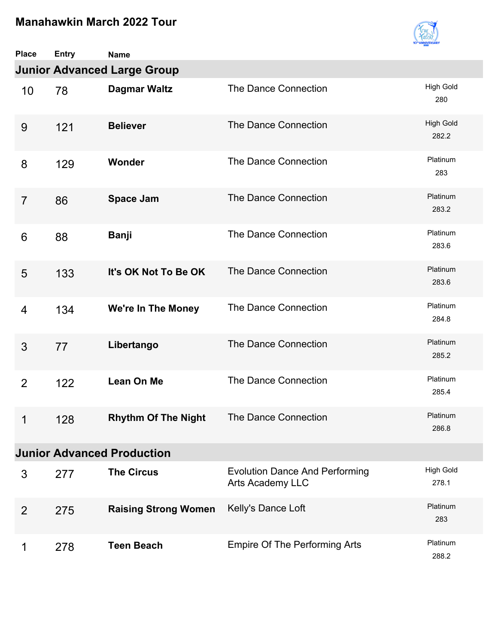

| <b>Place</b>   | <b>Entry</b> | <b>Name</b>                        |                                                                  |                           |
|----------------|--------------|------------------------------------|------------------------------------------------------------------|---------------------------|
|                |              | <b>Junior Advanced Large Group</b> |                                                                  |                           |
| 10             | 78           | <b>Dagmar Waltz</b>                | The Dance Connection                                             | <b>High Gold</b><br>280   |
| 9              | 121          | <b>Believer</b>                    | The Dance Connection                                             | <b>High Gold</b><br>282.2 |
| 8              | 129          | Wonder                             | The Dance Connection                                             | Platinum<br>283           |
| $\overline{7}$ | 86           | <b>Space Jam</b>                   | The Dance Connection                                             | Platinum<br>283.2         |
| 6              | 88           | <b>Banji</b>                       | The Dance Connection                                             | Platinum<br>283.6         |
| 5              | 133          | It's OK Not To Be OK               | The Dance Connection                                             | Platinum<br>283.6         |
| 4              | 134          | We're In The Money                 | The Dance Connection                                             | Platinum<br>284.8         |
| 3              | 77           | Libertango                         | The Dance Connection                                             | Platinum<br>285.2         |
| $\overline{2}$ | 122          | <b>Lean On Me</b>                  | The Dance Connection                                             | Platinum<br>285.4         |
| 1              | 128          | <b>Rhythm Of The Night</b>         | The Dance Connection                                             | Platinum<br>286.8         |
|                |              | <b>Junior Advanced Production</b>  |                                                                  |                           |
| 3              | 277          | <b>The Circus</b>                  | <b>Evolution Dance And Performing</b><br><b>Arts Academy LLC</b> | <b>High Gold</b><br>278.1 |
| $\overline{2}$ | 275          | <b>Raising Strong Women</b>        | Kelly's Dance Loft                                               | Platinum<br>283           |
| 1              | 278          | <b>Teen Beach</b>                  | <b>Empire Of The Performing Arts</b>                             | Platinum<br>288.2         |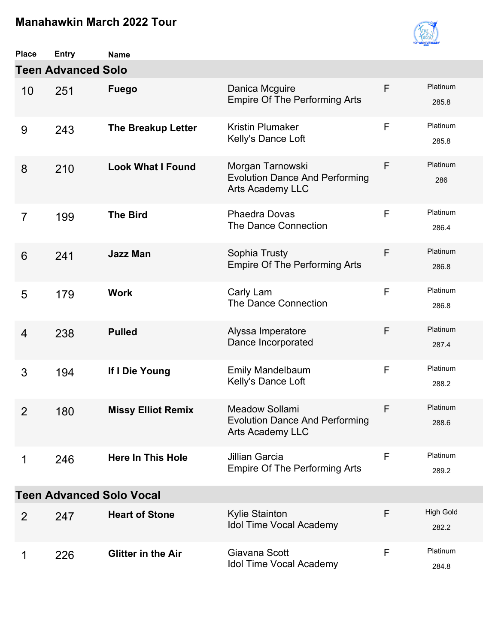

| <b>Place</b>   | <b>Entry</b>              | <b>Name</b>                     |                                                                                      |   |                           |
|----------------|---------------------------|---------------------------------|--------------------------------------------------------------------------------------|---|---------------------------|
|                | <b>Teen Advanced Solo</b> |                                 |                                                                                      |   |                           |
| 10             | 251                       | <b>Fuego</b>                    | Danica Mcguire<br><b>Empire Of The Performing Arts</b>                               | F | Platinum<br>285.8         |
| 9              | 243                       | <b>The Breakup Letter</b>       | <b>Kristin Plumaker</b><br>Kelly's Dance Loft                                        | F | Platinum<br>285.8         |
| 8              | 210                       | <b>Look What I Found</b>        | Morgan Tarnowski<br><b>Evolution Dance And Performing</b><br><b>Arts Academy LLC</b> | F | Platinum<br>286           |
| $\overline{7}$ | 199                       | <b>The Bird</b>                 | <b>Phaedra Dovas</b><br><b>The Dance Connection</b>                                  | F | Platinum<br>286.4         |
| 6              | 241                       | <b>Jazz Man</b>                 | Sophia Trusty<br><b>Empire Of The Performing Arts</b>                                | F | Platinum<br>286.8         |
| 5              | 179                       | <b>Work</b>                     | Carly Lam<br>The Dance Connection                                                    | F | Platinum<br>286.8         |
| $\overline{4}$ | 238                       | <b>Pulled</b>                   | Alyssa Imperatore<br>Dance Incorporated                                              | F | Platinum<br>287.4         |
| 3              | 194                       | If I Die Young                  | <b>Emily Mandelbaum</b><br>Kelly's Dance Loft                                        | F | Platinum<br>288.2         |
| $\overline{2}$ | 180                       | <b>Missy Elliot Remix</b>       | Meadow Sollami<br><b>Evolution Dance And Performing</b><br><b>Arts Academy LLC</b>   | F | Platinum<br>288.6         |
| 1              | 246                       | <b>Here In This Hole</b>        | <b>Jillian Garcia</b><br><b>Empire Of The Performing Arts</b>                        | F | Platinum<br>289.2         |
|                |                           | <b>Teen Advanced Solo Vocal</b> |                                                                                      |   |                           |
| 2              | 247                       | <b>Heart of Stone</b>           | Kylie Stainton<br><b>Idol Time Vocal Academy</b>                                     | F | <b>High Gold</b><br>282.2 |
| 1              | 226                       | <b>Glitter in the Air</b>       | Giavana Scott<br><b>Idol Time Vocal Academy</b>                                      | F | Platinum<br>284.8         |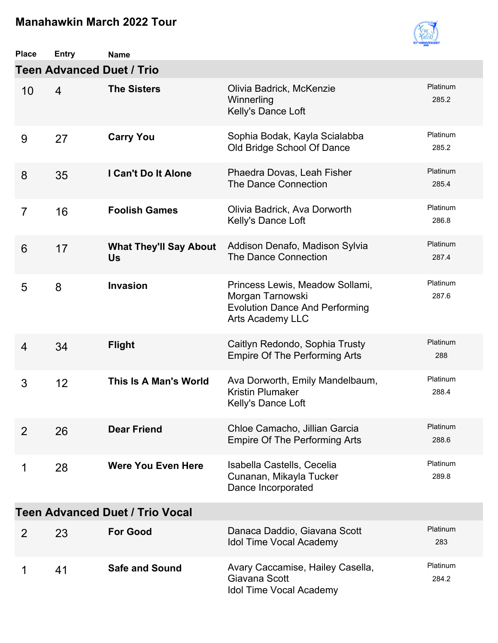

| <b>Place</b>   | <b>Entry</b>   | <b>Name</b>                                |                                                                                                                         |                   |
|----------------|----------------|--------------------------------------------|-------------------------------------------------------------------------------------------------------------------------|-------------------|
|                |                | <b>Teen Advanced Duet / Trio</b>           |                                                                                                                         |                   |
| 10             | $\overline{4}$ | <b>The Sisters</b>                         | Olivia Badrick, McKenzie<br>Winnerling<br>Kelly's Dance Loft                                                            | Platinum<br>285.2 |
| 9              | 27             | <b>Carry You</b>                           | Sophia Bodak, Kayla Scialabba<br>Old Bridge School Of Dance                                                             | Platinum<br>285.2 |
| 8              | 35             | I Can't Do It Alone                        | Phaedra Dovas, Leah Fisher<br>The Dance Connection                                                                      | Platinum<br>285.4 |
| $\overline{7}$ | 16             | <b>Foolish Games</b>                       | Olivia Badrick, Ava Dorworth<br>Kelly's Dance Loft                                                                      | Platinum<br>286.8 |
| 6              | 17             | <b>What They'll Say About</b><br><b>Us</b> | Addison Denafo, Madison Sylvia<br>The Dance Connection                                                                  | Platinum<br>287.4 |
| 5              | 8              | <b>Invasion</b>                            | Princess Lewis, Meadow Sollami,<br>Morgan Tarnowski<br><b>Evolution Dance And Performing</b><br><b>Arts Academy LLC</b> | Platinum<br>287.6 |
| $\overline{4}$ | 34             | <b>Flight</b>                              | Caitlyn Redondo, Sophia Trusty<br><b>Empire Of The Performing Arts</b>                                                  | Platinum<br>288   |
| 3              | 12             | This Is A Man's World                      | Ava Dorworth, Emily Mandelbaum,<br><b>Kristin Plumaker</b><br>Kelly's Dance Loft                                        | Platinum<br>288.4 |
| 2              | 26             | <b>Dear Friend</b>                         | Chloe Camacho, Jillian Garcia<br><b>Empire Of The Performing Arts</b>                                                   | Platinum<br>288.6 |
| 1              | 28             | <b>Were You Even Here</b>                  | Isabella Castells, Cecelia<br>Cunanan, Mikayla Tucker<br>Dance Incorporated                                             | Platinum<br>289.8 |
|                |                | <b>Teen Advanced Duet / Trio Vocal</b>     |                                                                                                                         |                   |
| 2              | 23             | <b>For Good</b>                            | Danaca Daddio, Giavana Scott<br><b>Idol Time Vocal Academy</b>                                                          | Platinum<br>283   |
| 1              | 41             | <b>Safe and Sound</b>                      | Avary Caccamise, Hailey Casella,<br>Giavana Scott<br><b>Idol Time Vocal Academy</b>                                     | Platinum<br>284.2 |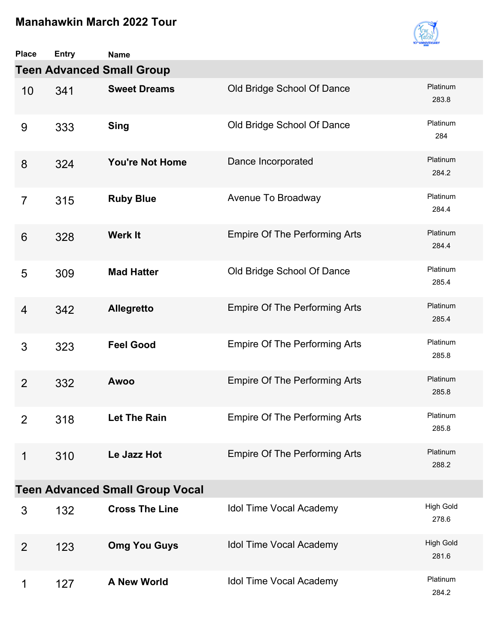

| <b>Place</b>    | <b>Entry</b>                     | <b>Name</b>                            |                                      |                           |  |  |  |  |
|-----------------|----------------------------------|----------------------------------------|--------------------------------------|---------------------------|--|--|--|--|
|                 | <b>Teen Advanced Small Group</b> |                                        |                                      |                           |  |  |  |  |
| 10              | 341                              | <b>Sweet Dreams</b>                    | Old Bridge School Of Dance           | Platinum<br>283.8         |  |  |  |  |
| 9               | 333                              | <b>Sing</b>                            | Old Bridge School Of Dance           | Platinum<br>284           |  |  |  |  |
| 8               | 324                              | <b>You're Not Home</b>                 | Dance Incorporated                   | Platinum<br>284.2         |  |  |  |  |
| $\overline{7}$  | 315                              | <b>Ruby Blue</b>                       | Avenue To Broadway                   | Platinum<br>284.4         |  |  |  |  |
| $6\phantom{1}6$ | 328                              | <b>Werk It</b>                         | <b>Empire Of The Performing Arts</b> | Platinum<br>284.4         |  |  |  |  |
| 5               | 309                              | <b>Mad Hatter</b>                      | Old Bridge School Of Dance           | Platinum<br>285.4         |  |  |  |  |
| 4               | 342                              | <b>Allegretto</b>                      | <b>Empire Of The Performing Arts</b> | Platinum<br>285.4         |  |  |  |  |
| 3               | 323                              | <b>Feel Good</b>                       | <b>Empire Of The Performing Arts</b> | Platinum<br>285.8         |  |  |  |  |
| $\overline{2}$  | 332                              | <b>Awoo</b>                            | <b>Empire Of The Performing Arts</b> | Platinum<br>285.8         |  |  |  |  |
| $\overline{2}$  | 318                              | Let The Rain                           | <b>Empire Of The Performing Arts</b> | Platinum<br>285.8         |  |  |  |  |
| 1               | 310                              | Le Jazz Hot                            | <b>Empire Of The Performing Arts</b> | Platinum<br>288.2         |  |  |  |  |
|                 |                                  | <b>Teen Advanced Small Group Vocal</b> |                                      |                           |  |  |  |  |
| 3               | 132                              | <b>Cross The Line</b>                  | Idol Time Vocal Academy              | <b>High Gold</b><br>278.6 |  |  |  |  |
| $\overline{2}$  | 123                              | <b>Omg You Guys</b>                    | Idol Time Vocal Academy              | <b>High Gold</b><br>281.6 |  |  |  |  |
| 1               | 127                              | <b>A New World</b>                     | Idol Time Vocal Academy              | Platinum<br>284.2         |  |  |  |  |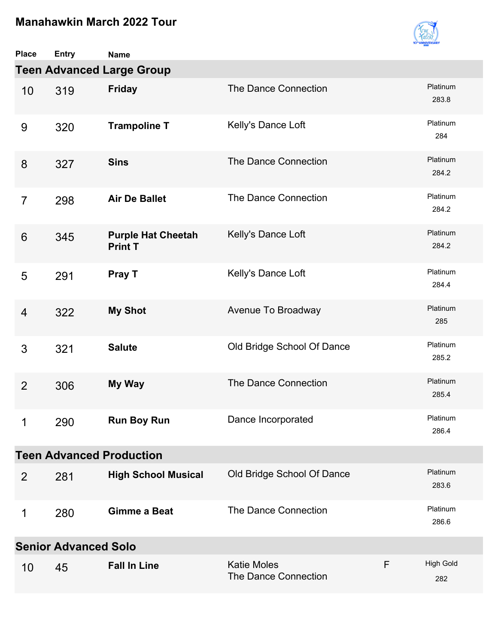

| <b>Place</b>                    | <b>Entry</b>                     | <b>Name</b>                                 |                                            |   |                         |  |  |  |
|---------------------------------|----------------------------------|---------------------------------------------|--------------------------------------------|---|-------------------------|--|--|--|
|                                 | <b>Teen Advanced Large Group</b> |                                             |                                            |   |                         |  |  |  |
| 10                              | 319                              | <b>Friday</b>                               | The Dance Connection                       |   | Platinum<br>283.8       |  |  |  |
| 9                               | 320                              | <b>Trampoline T</b>                         | Kelly's Dance Loft                         |   | Platinum<br>284         |  |  |  |
| 8                               | 327                              | <b>Sins</b>                                 | The Dance Connection                       |   | Platinum<br>284.2       |  |  |  |
| $\overline{7}$                  | 298                              | <b>Air De Ballet</b>                        | The Dance Connection                       |   | Platinum<br>284.2       |  |  |  |
| $6\phantom{1}6$                 | 345                              | <b>Purple Hat Cheetah</b><br><b>Print T</b> | Kelly's Dance Loft                         |   | Platinum<br>284.2       |  |  |  |
| 5                               | 291                              | Pray T                                      | Kelly's Dance Loft                         |   | Platinum<br>284.4       |  |  |  |
| 4                               | 322                              | <b>My Shot</b>                              | Avenue To Broadway                         |   | Platinum<br>285         |  |  |  |
| 3                               | 321                              | <b>Salute</b>                               | Old Bridge School Of Dance                 |   | Platinum<br>285.2       |  |  |  |
| $\overline{2}$                  | 306                              | My Way                                      | The Dance Connection                       |   | Platinum<br>285.4       |  |  |  |
| 1                               | 290                              | <b>Run Boy Run</b>                          | Dance Incorporated                         |   | Platinum<br>286.4       |  |  |  |
| <b>Teen Advanced Production</b> |                                  |                                             |                                            |   |                         |  |  |  |
| 2                               | 281                              | <b>High School Musical</b>                  | Old Bridge School Of Dance                 |   | Platinum<br>283.6       |  |  |  |
| 1                               | 280                              | <b>Gimme a Beat</b>                         | The Dance Connection                       |   | Platinum<br>286.6       |  |  |  |
| <b>Senior Advanced Solo</b>     |                                  |                                             |                                            |   |                         |  |  |  |
| 10                              | 45                               | <b>Fall In Line</b>                         | <b>Katie Moles</b><br>The Dance Connection | F | <b>High Gold</b><br>282 |  |  |  |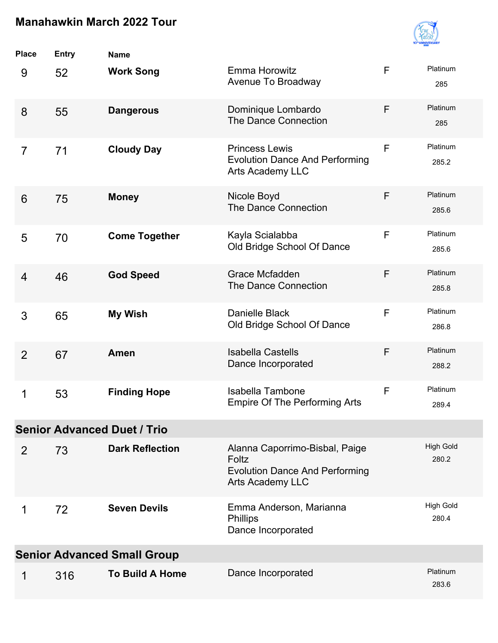

| <b>Place</b>                       | <b>Entry</b> | <b>Name</b>            |                                                                                                             |   |                           |  |
|------------------------------------|--------------|------------------------|-------------------------------------------------------------------------------------------------------------|---|---------------------------|--|
| 9                                  | 52           | <b>Work Song</b>       | Emma Horowitz<br>Avenue To Broadway                                                                         | F | Platinum<br>285           |  |
| 8                                  | 55           | <b>Dangerous</b>       | Dominique Lombardo<br><b>The Dance Connection</b>                                                           | F | Platinum<br>285           |  |
| $\overline{7}$                     | 71           | <b>Cloudy Day</b>      | <b>Princess Lewis</b><br><b>Evolution Dance And Performing</b><br><b>Arts Academy LLC</b>                   | F | Platinum<br>285.2         |  |
| $6\phantom{1}6$                    | 75           | <b>Money</b>           | Nicole Boyd<br>The Dance Connection                                                                         | F | Platinum<br>285.6         |  |
| 5                                  | 70           | <b>Come Together</b>   | Kayla Scialabba<br>Old Bridge School Of Dance                                                               | F | Platinum<br>285.6         |  |
| 4                                  | 46           | <b>God Speed</b>       | Grace Mcfadden<br>The Dance Connection                                                                      | F | Platinum<br>285.8         |  |
| 3                                  | 65           | <b>My Wish</b>         | Danielle Black<br>Old Bridge School Of Dance                                                                | F | Platinum<br>286.8         |  |
| $\overline{2}$                     | 67           | Amen                   | <b>Isabella Castells</b><br>Dance Incorporated                                                              | F | Platinum<br>288.2         |  |
| 1                                  | 53           | <b>Finding Hope</b>    | <b>Isabella Tambone</b><br><b>Empire Of The Performing Arts</b>                                             | F | Platinum<br>289.4         |  |
| <b>Senior Advanced Duet / Trio</b> |              |                        |                                                                                                             |   |                           |  |
| 2                                  | 73           | <b>Dark Reflection</b> | Alanna Caporrimo-Bisbal, Paige<br>Foltz<br><b>Evolution Dance And Performing</b><br><b>Arts Academy LLC</b> |   | <b>High Gold</b><br>280.2 |  |
| 1                                  | 72           | <b>Seven Devils</b>    | Emma Anderson, Marianna<br><b>Phillips</b><br>Dance Incorporated                                            |   | <b>High Gold</b><br>280.4 |  |
| <b>Senior Advanced Small Group</b> |              |                        |                                                                                                             |   |                           |  |
| 1                                  | 316          | <b>To Build A Home</b> | Dance Incorporated                                                                                          |   | Platinum<br>283.6         |  |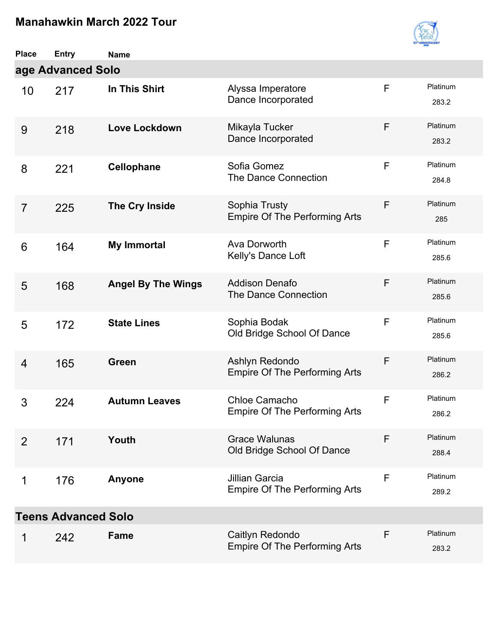

| <b>Place</b>               | <b>Entry</b>      | <b>Name</b>               |                                                               |   |                   |  |  |
|----------------------------|-------------------|---------------------------|---------------------------------------------------------------|---|-------------------|--|--|
|                            | age Advanced Solo |                           |                                                               |   |                   |  |  |
| 10                         | 217               | In This Shirt             | Alyssa Imperatore<br>Dance Incorporated                       | F | Platinum<br>283.2 |  |  |
| 9                          | 218               | <b>Love Lockdown</b>      | Mikayla Tucker<br>Dance Incorporated                          | F | Platinum<br>283.2 |  |  |
| 8                          | 221               | <b>Cellophane</b>         | Sofia Gomez<br>The Dance Connection                           | F | Platinum<br>284.8 |  |  |
| $\overline{7}$             | 225               | The Cry Inside            | Sophia Trusty<br><b>Empire Of The Performing Arts</b>         | F | Platinum<br>285   |  |  |
| 6                          | 164               | <b>My Immortal</b>        | Ava Dorworth<br>Kelly's Dance Loft                            | F | Platinum<br>285.6 |  |  |
| 5                          | 168               | <b>Angel By The Wings</b> | <b>Addison Denafo</b><br>The Dance Connection                 | F | Platinum<br>285.6 |  |  |
| 5                          | 172               | <b>State Lines</b>        | Sophia Bodak<br>Old Bridge School Of Dance                    | F | Platinum<br>285.6 |  |  |
| 4                          | 165               | Green                     | Ashlyn Redondo<br><b>Empire Of The Performing Arts</b>        | F | Platinum<br>286.2 |  |  |
| 3                          | 224               | <b>Autumn Leaves</b>      | Chloe Camacho<br><b>Empire Of The Performing Arts</b>         | F | Platinum<br>286.2 |  |  |
| $\overline{2}$             | 171               | Youth                     | <b>Grace Walunas</b><br>Old Bridge School Of Dance            | F | Platinum<br>288.4 |  |  |
| 1                          | 176               | Anyone                    | <b>Jillian Garcia</b><br><b>Empire Of The Performing Arts</b> | F | Platinum<br>289.2 |  |  |
| <b>Teens Advanced Solo</b> |                   |                           |                                                               |   |                   |  |  |
| 1                          | 242               | Fame                      | Caitlyn Redondo<br><b>Empire Of The Performing Arts</b>       | F | Platinum<br>283.2 |  |  |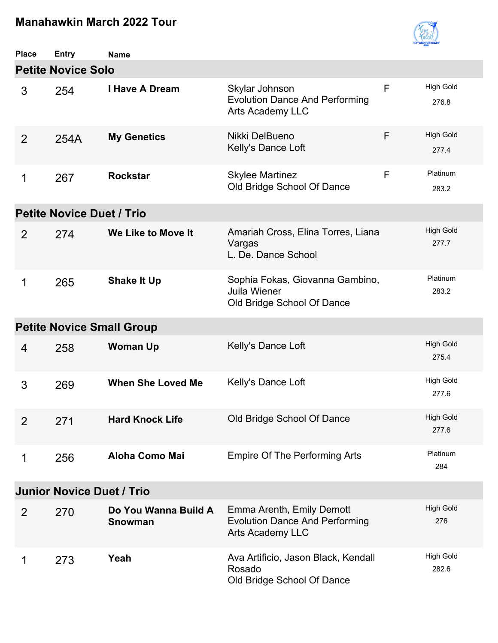

| <b>Place</b>                     | <b>Entry</b>                     | <b>Name</b>                            |                                                                                               |   |                           |  |  |
|----------------------------------|----------------------------------|----------------------------------------|-----------------------------------------------------------------------------------------------|---|---------------------------|--|--|
| <b>Petite Novice Solo</b>        |                                  |                                        |                                                                                               |   |                           |  |  |
| 3                                | 254                              | <b>I Have A Dream</b>                  | Skylar Johnson<br><b>Evolution Dance And Performing</b><br><b>Arts Academy LLC</b>            | F | <b>High Gold</b><br>276.8 |  |  |
| $\overline{2}$                   | 254A                             | <b>My Genetics</b>                     | Nikki DelBueno<br>Kelly's Dance Loft                                                          | F | <b>High Gold</b><br>277.4 |  |  |
| 1                                | 267                              | <b>Rockstar</b>                        | <b>Skylee Martinez</b><br>Old Bridge School Of Dance                                          | F | Platinum<br>283.2         |  |  |
|                                  | <b>Petite Novice Duet / Trio</b> |                                        |                                                                                               |   |                           |  |  |
| $\overline{2}$                   | 274                              | We Like to Move It                     | Amariah Cross, Elina Torres, Liana<br>Vargas<br>L. De. Dance School                           |   | <b>High Gold</b><br>277.7 |  |  |
| 1                                | 265                              | <b>Shake It Up</b>                     | Sophia Fokas, Giovanna Gambino,<br>Juila Wiener<br>Old Bridge School Of Dance                 |   | Platinum<br>283.2         |  |  |
| <b>Petite Novice Small Group</b> |                                  |                                        |                                                                                               |   |                           |  |  |
| 4                                | 258                              | <b>Woman Up</b>                        | Kelly's Dance Loft                                                                            |   | <b>High Gold</b><br>275.4 |  |  |
| 3                                | 269                              | <b>When She Loved Me</b>               | Kelly's Dance Loft                                                                            |   | <b>High Gold</b><br>277.6 |  |  |
| $\overline{2}$                   | 271                              | <b>Hard Knock Life</b>                 | Old Bridge School Of Dance                                                                    |   | <b>High Gold</b><br>277.6 |  |  |
| 1                                | 256                              | Aloha Como Mai                         | <b>Empire Of The Performing Arts</b>                                                          |   | Platinum<br>284           |  |  |
| <b>Junior Novice Duet / Trio</b> |                                  |                                        |                                                                                               |   |                           |  |  |
| $\overline{2}$                   | 270                              | Do You Wanna Build A<br><b>Snowman</b> | Emma Arenth, Emily Demott<br><b>Evolution Dance And Performing</b><br><b>Arts Academy LLC</b> |   | <b>High Gold</b><br>276   |  |  |
| 1                                | 273                              | Yeah                                   | Ava Artificio, Jason Black, Kendall<br>Rosado<br>Old Bridge School Of Dance                   |   | <b>High Gold</b><br>282.6 |  |  |